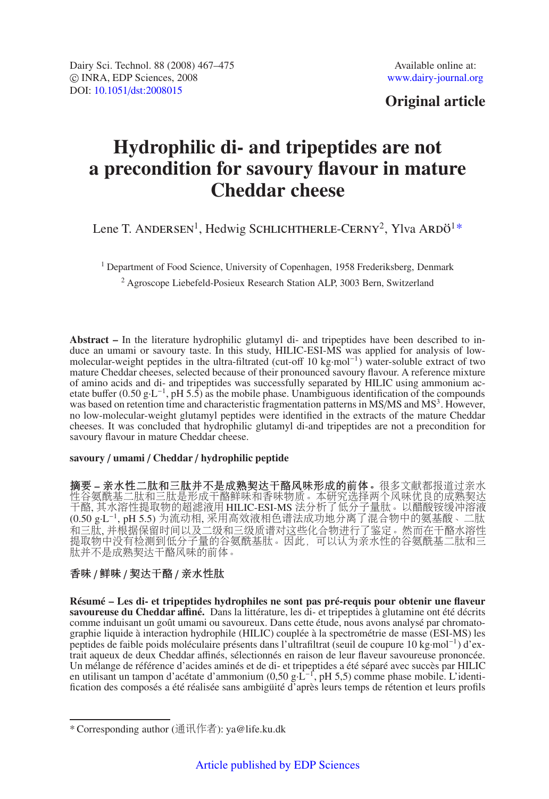# **Original article**

# **Hydrophilic di- and tripeptides are not a precondition for savoury flavour in mature Cheddar cheese**

Lene T. ANDERSEN<sup>1</sup>, Hedwig SCHLICHTHERLE-CERNY<sup>2</sup>, Ylva ARD $\ddot{o}^{1*}$ 

<sup>1</sup> Department of Food Science, University of Copenhagen, 1958 Frederiksberg, Denmark <sup>2</sup> Agroscope Liebefeld-Posieux Research Station ALP, 3003 Bern, Switzerland

**Abstract –** In the literature hydrophilic glutamyl di- and tripeptides have been described to induce an umami or savoury taste. In this study, HILIC-ESI-MS was applied for analysis of lowmolecular-weight peptides in the ultra-filtrated (cut-off 10 kg·mol−1) water-soluble extract of two mature Cheddar cheeses, selected because of their pronounced savoury flavour. A reference mixture of amino acids and di- and tripeptides was successfully separated by HILIC using ammonium acetate buffer (0.50 g·L<sup>−1</sup>, pH 5.5) as the mobile phase. Unambiguous identification of the compounds was based on retention time and characteristic fragmentation patterns in  $MS/MS$  and  $MS<sup>3</sup>$ . However, no low-molecular-weight glutamyl peptides were identified in the extracts of the mature Cheddar cheeses. It was concluded that hydrophilic glutamyl di-and tripeptides are not a precondition for savoury flavour in mature Cheddar cheese.

# **savoury** / **umami** / **Cheddar** / **hydrophilic peptide**

摘要 **–** 亲水性二肽和三肽并不是成熟契达干酪风味形成的前体。很多文献都报道过亲水 性谷氨酰基二肽和三肽是形成干酪鲜味和香味物质。本研究选择两个风味优良的成熟契达 干酪, 其水溶性提取物的超滤液用 HILIC-ESI-MS 法分析了低分子量肽。以醋酸铵缓冲溶液 (0.50 g·L−1, pH 5.5) 为流动相, 采用高效液相色谱法成功地分离了混合物中的氨基酸、二肽 和三肽, 并根据保留时间以及二级和三级质谱对这些化合物进行了鉴定。然而在干酪水溶性 提取物中没有检测到低分子量的谷氨酰基肽。因此,可以认为亲水性的谷氨酰基二肽和三 肽并不是成熟契达干酪风味的前体。

# 香味 / 鲜味 / 契达干酪 / 亲水性肽

**Résumé – Les di- et tripeptides hydrophiles ne sont pas pré-requis pour obtenir une flaveur savoureuse du Cheddar a**ffi**né.** Dans la littérature, les di- et tripeptides à glutamine ont été décrits comme induisant un goût umami ou savoureux. Dans cette étude, nous avons analysé par chromatographie liquide à interaction hydrophile (HILIC) couplée à la spectrométrie de masse (ESI-MS) les peptides de faible poids moléculaire présents dans l'ultrafiltrat (seuil de coupure 10 kg·mol−1) d'extrait aqueux de deux Cheddar affinés, sélectionnés en raison de leur flaveur savoureuse prononcée. Un mélange de référence d'acides aminés et de di- et tripeptides a été séparé avec succès par HILIC en utilisant un tampon d'acétate d'ammonium (0,50 g·L<sup>−1</sup>, pH 5,5) comme phase mobile. L'identification des composés a été réalisée sans ambigüité d'après leurs temps de rétention et leurs profils

<sup>\*</sup> Corresponding author (通讯作者): ya@life.ku.dk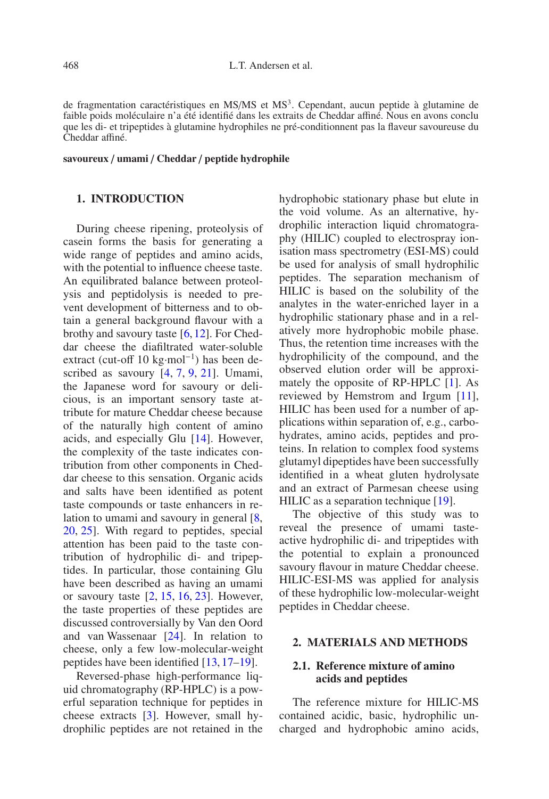de fragmentation caractéristiques en MS/MS et MS<sup>3</sup>. Cependant, aucun peptide à glutamine de faible poids moléculaire n'a été identifié dans les extraits de Cheddar affiné. Nous en avons conclu que les di- et tripeptides à glutamine hydrophiles ne pré-conditionnent pas la flaveur savoureuse du Cheddar affiné.

#### **savoureux** / **umami** / **Cheddar** / **peptide hydrophile**

# **1. INTRODUCTION**

During cheese ripening, proteolysis of casein forms the basis for generating a wide range of peptides and amino acids, with the potential to influence cheese taste. An equilibrated balance between proteolysis and peptidolysis is needed to prevent development of bitterness and to obtain a general background flavour with a brothy and savoury taste [\[6,](#page-8-0)[12](#page-8-1)]. For Cheddar cheese the diafiltrated water-soluble extract (cut-off 10 kg·mol<sup>-1</sup>) has been de-scribed as savoury [\[4,](#page-8-2) [7](#page-8-3), [9,](#page-8-4) [21\]](#page-8-5). Umami, the Japanese word for savoury or delicious, is an important sensory taste attribute for mature Cheddar cheese because of the naturally high content of amino acids, and especially Glu [\[14](#page-8-6)]. However, the complexity of the taste indicates contribution from other components in Cheddar cheese to this sensation. Organic acids and salts have been identified as potent taste compounds or taste enhancers in relation to umami and savoury in general [\[8,](#page-8-7) [20,](#page-8-8) [25\]](#page-8-9). With regard to peptides, special attention has been paid to the taste contribution of hydrophilic di- and tripeptides. In particular, those containing Glu have been described as having an umami or savoury taste  $[2, 15, 16, 23]$  $[2, 15, 16, 23]$  $[2, 15, 16, 23]$  $[2, 15, 16, 23]$  $[2, 15, 16, 23]$  $[2, 15, 16, 23]$  $[2, 15, 16, 23]$  $[2, 15, 16, 23]$ . However, the taste properties of these peptides are discussed controversially by Van den Oord and van Wassenaar [\[24\]](#page-8-14). In relation to cheese, only a few low-molecular-weight peptides have been identified [\[13](#page-8-15), [17](#page-8-16)[–19\]](#page-8-17).

Reversed-phase high-performance liquid chromatography (RP-HPLC) is a powerful separation technique for peptides in cheese extracts [\[3\]](#page-8-18). However, small hydrophilic peptides are not retained in the hydrophobic stationary phase but elute in the void volume. As an alternative, hydrophilic interaction liquid chromatography (HILIC) coupled to electrospray ionisation mass spectrometry (ESI-MS) could be used for analysis of small hydrophilic peptides. The separation mechanism of HILIC is based on the solubility of the analytes in the water-enriched layer in a hydrophilic stationary phase and in a relatively more hydrophobic mobile phase. Thus, the retention time increases with the hydrophilicity of the compound, and the observed elution order will be approximately the opposite of RP-HPLC [\[1\]](#page-7-0). As reviewed by Hemstrom and Irgum [\[11\]](#page-8-19), HILIC has been used for a number of applications within separation of, e.g., carbohydrates, amino acids, peptides and proteins. In relation to complex food systems glutamyl dipeptides have been successfully identified in a wheat gluten hydrolysate and an extract of Parmesan cheese using HILIC as a separation technique [\[19\]](#page-8-17).

The objective of this study was to reveal the presence of umami tasteactive hydrophilic di- and tripeptides with the potential to explain a pronounced savoury flavour in mature Cheddar cheese. HILIC-ESI-MS was applied for analysis of these hydrophilic low-molecular-weight peptides in Cheddar cheese.

#### **2. MATERIALS AND METHODS**

### **2.1. Reference mixture of amino acids and peptides**

The reference mixture for HILIC-MS contained acidic, basic, hydrophilic uncharged and hydrophobic amino acids,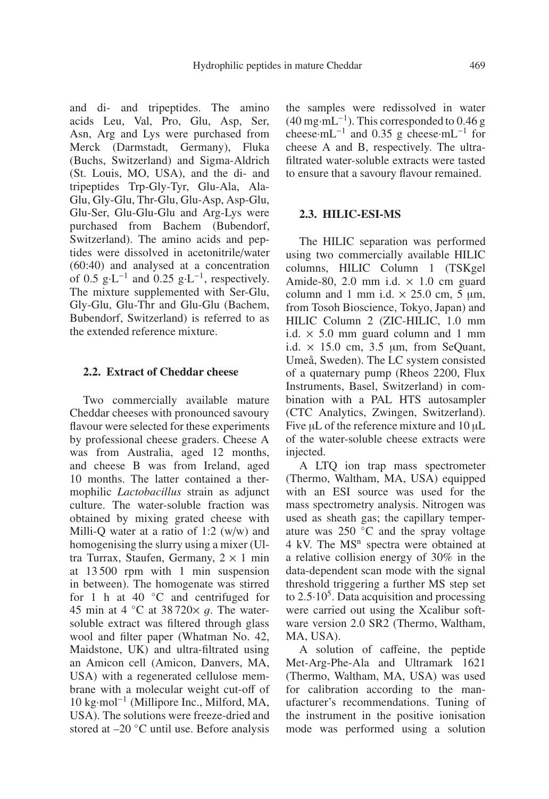and di- and tripeptides. The amino acids Leu, Val, Pro, Glu, Asp, Ser, Asn, Arg and Lys were purchased from Merck (Darmstadt, Germany), Fluka (Buchs, Switzerland) and Sigma-Aldrich (St. Louis, MO, USA), and the di- and tripeptides Trp-Gly-Tyr, Glu-Ala, Ala-Glu, Gly-Glu, Thr-Glu, Glu-Asp, Asp-Glu, Glu-Ser, Glu-Glu-Glu and Arg-Lys were purchased from Bachem (Bubendorf, Switzerland). The amino acids and peptides were dissolved in acetonitrile/water (60:40) and analysed at a concentration of 0.5 g⋅L<sup>-1</sup> and 0.25 g⋅L<sup>-1</sup>, respectively. The mixture supplemented with Ser-Glu, Gly-Glu, Glu-Thr and Glu-Glu (Bachem, Bubendorf, Switzerland) is referred to as the extended reference mixture.

#### **2.2. Extract of Cheddar cheese**

Two commercially available mature Cheddar cheeses with pronounced savoury flavour were selected for these experiments by professional cheese graders. Cheese A was from Australia, aged 12 months, and cheese B was from Ireland, aged 10 months. The latter contained a thermophilic *Lactobacillus* strain as adjunct culture. The water-soluble fraction was obtained by mixing grated cheese with Milli-Q water at a ratio of 1:2 (w/w) and homogenising the slurry using a mixer (Ultra Turrax, Staufen, Germany,  $2 \times 1$  min at 13 500 rpm with 1 min suspension in between). The homogenate was stirred for 1 h at 40  $\degree$ C and centrifuged for 45 min at 4  $\degree$ C at 38 720 $\times$  q. The watersoluble extract was filtered through glass wool and filter paper (Whatman No. 42, Maidstone, UK) and ultra-filtrated using an Amicon cell (Amicon, Danvers, MA, USA) with a regenerated cellulose membrane with a molecular weight cut-off of 10 kg·mol−<sup>1</sup> (Millipore Inc., Milford, MA, USA). The solutions were freeze-dried and stored at –20 ◦C until use. Before analysis the samples were redissolved in water (40 mg·mL−1). This corresponded to 0.46 g cheese $\cdot$ mL<sup>-1</sup> and 0.35 g cheese $\cdot$ mL<sup>-1</sup> for cheese A and B, respectively. The ultrafiltrated water-soluble extracts were tasted to ensure that a savoury flavour remained.

#### **2.3. HILIC-ESI-MS**

The HILIC separation was performed using two commercially available HILIC columns, HILIC Column 1 (TSKgel Amide-80, 2.0 mm i.d.  $\times$  1.0 cm guard column and 1 mm i.d.  $\times$  25.0 cm, 5 µm, from Tosoh Bioscience, Tokyo, Japan) and HILIC Column 2 (ZIC-HILIC, 1.0 mm i.d.  $\times$  5.0 mm guard column and 1 mm i.d.  $\times$  15.0 cm, 3.5 µm, from SeQuant, Umeå, Sweden). The LC system consisted of a quaternary pump (Rheos 2200, Flux Instruments, Basel, Switzerland) in combination with a PAL HTS autosampler (CTC Analytics, Zwingen, Switzerland). Five μL of the reference mixture and 10 μL of the water-soluble cheese extracts were injected.

A LTQ ion trap mass spectrometer (Thermo, Waltham, MA, USA) equipped with an ESI source was used for the mass spectrometry analysis. Nitrogen was used as sheath gas; the capillary temperature was 250 ◦C and the spray voltage 4 kV. The MS<sup>n</sup> spectra were obtained at a relative collision energy of 30% in the data-dependent scan mode with the signal threshold triggering a further MS step set to  $2.5 \cdot 10^5$ . Data acquisition and processing were carried out using the Xcalibur software version 2.0 SR2 (Thermo, Waltham, MA, USA).

A solution of caffeine, the peptide Met-Arg-Phe-Ala and Ultramark 1621 (Thermo, Waltham, MA, USA) was used for calibration according to the manufacturer's recommendations. Tuning of the instrument in the positive ionisation mode was performed using a solution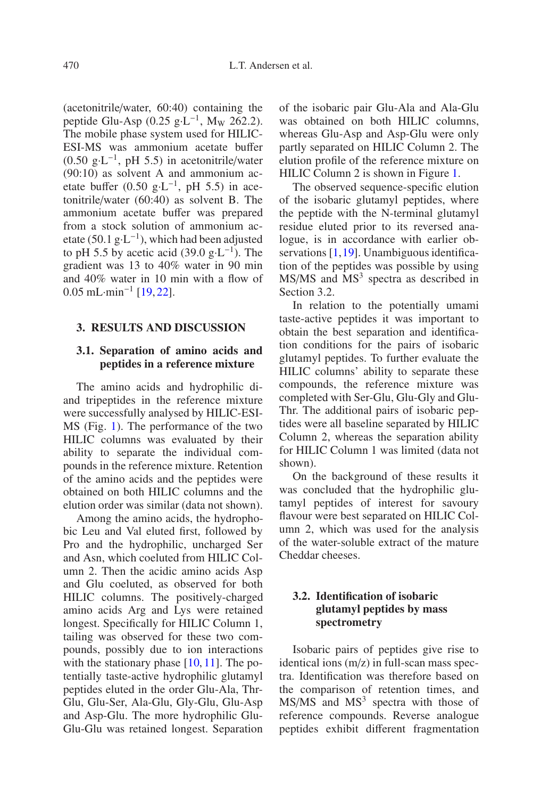(acetonitrile/water, 60:40) containing the peptide Glu-Asp (0.25 g⋅L<sup>-1</sup>, M<sub>W</sub> 262.2). The mobile phase system used for HILIC-ESI-MS was ammonium acetate buffer  $(0.50 \text{ g} \cdot \text{L}^{-1}, \text{ pH } 5.5)$  in acetonitrile/water (90:10) as solvent A and ammonium acetate buffer (0.50 g⋅L<sup>-1</sup>, pH 5.5) in acetonitrile/water (60:40) as solvent B. The ammonium acetate buffer was prepared from a stock solution of ammonium acetate (50.1 g⋅L<sup>-1</sup>), which had been adjusted to pH 5.5 by acetic acid (39.0 g⋅L<sup>-1</sup>). The gradient was 13 to 40% water in 90 min and 40% water in 10 min with a flow of 0.05 mL·min−<sup>1</sup> [\[19,](#page-8-17) [22\]](#page-8-20).

#### **3. RESULTS AND DISCUSSION**

## **3.1. Separation of amino acids and peptides in a reference mixture**

The amino acids and hydrophilic diand tripeptides in the reference mixture were successfully analysed by HILIC-ESI-MS (Fig. [1\)](#page-4-0). The performance of the two HILIC columns was evaluated by their ability to separate the individual compounds in the reference mixture. Retention of the amino acids and the peptides were obtained on both HILIC columns and the elution order was similar (data not shown).

Among the amino acids, the hydrophobic Leu and Val eluted first, followed by Pro and the hydrophilic, uncharged Ser and Asn, which coeluted from HILIC Column 2. Then the acidic amino acids Asp and Glu coeluted, as observed for both HILIC columns. The positively-charged amino acids Arg and Lys were retained longest. Specifically for HILIC Column 1, tailing was observed for these two compounds, possibly due to ion interactions with the stationary phase  $[10, 11]$  $[10, 11]$  $[10, 11]$ . The potentially taste-active hydrophilic glutamyl peptides eluted in the order Glu-Ala, Thr-Glu, Glu-Ser, Ala-Glu, Gly-Glu, Glu-Asp and Asp-Glu. The more hydrophilic Glu-Glu-Glu was retained longest. Separation of the isobaric pair Glu-Ala and Ala-Glu was obtained on both HILIC columns, whereas Glu-Asp and Asp-Glu were only partly separated on HILIC Column 2. The elution profile of the reference mixture on HILIC Column 2 is shown in Figure [1.](#page-4-0)

The observed sequence-specific elution of the isobaric glutamyl peptides, where the peptide with the N-terminal glutamyl residue eluted prior to its reversed analogue, is in accordance with earlier ob-servations [\[1,](#page-7-0)[19\]](#page-8-17). Unambiguous identification of the peptides was possible by using  $MS/MS$  and  $MS<sup>3</sup>$  spectra as described in Section 3.2.

In relation to the potentially umami taste-active peptides it was important to obtain the best separation and identification conditions for the pairs of isobaric glutamyl peptides. To further evaluate the HILIC columns' ability to separate these compounds, the reference mixture was completed with Ser-Glu, Glu-Gly and Glu-Thr. The additional pairs of isobaric peptides were all baseline separated by HILIC Column 2, whereas the separation ability for HILIC Column 1 was limited (data not shown).

On the background of these results it was concluded that the hydrophilic glutamyl peptides of interest for savoury flavour were best separated on HILIC Column 2, which was used for the analysis of the water-soluble extract of the mature Cheddar cheeses.

# **3.2. Identification of isobaric glutamyl peptides by mass spectrometry**

Isobaric pairs of peptides give rise to identical ions (m/z) in full-scan mass spectra. Identification was therefore based on the comparison of retention times, and  $MS/MS$  and  $MS<sup>3</sup>$  spectra with those of reference compounds. Reverse analogue peptides exhibit different fragmentation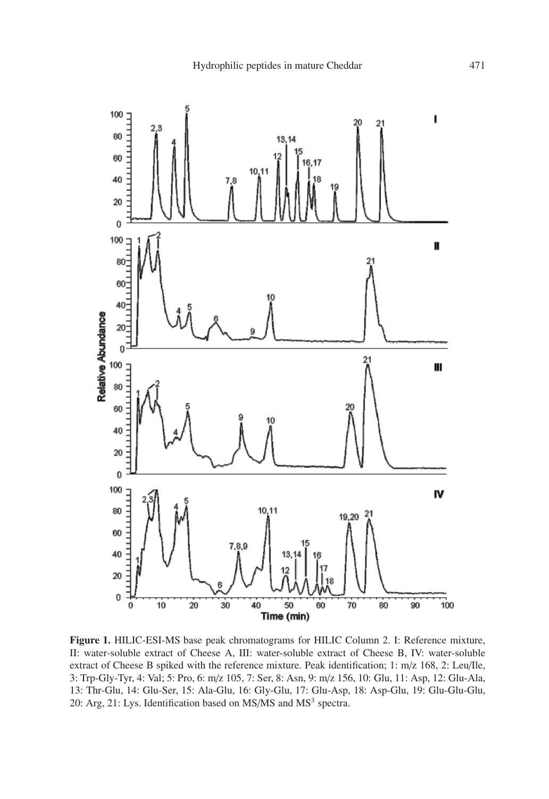

<span id="page-4-0"></span>**Figure 1.** HILIC-ESI-MS base peak chromatograms for HILIC Column 2. I: Reference mixture, II: water-soluble extract of Cheese A, III: water-soluble extract of Cheese B, IV: water-soluble extract of Cheese B spiked with the reference mixture. Peak identification; 1: m/z 168, 2: Leu/Ile, 3: Trp-Gly-Tyr, 4: Val; 5: Pro, 6: m/z 105, 7: Ser, 8: Asn, 9: m/z 156, 10: Glu, 11: Asp, 12: Glu-Ala, 13: Thr-Glu, 14: Glu-Ser, 15: Ala-Glu, 16: Gly-Glu, 17: Glu-Asp, 18: Asp-Glu, 19: Glu-Glu-Glu, 20: Arg, 21: Lys. Identification based on MS/MS and MS<sup>3</sup> spectra.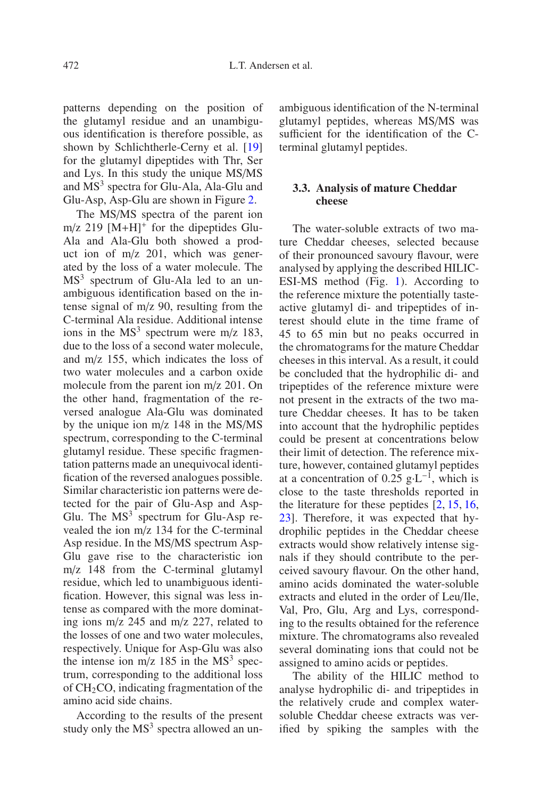patterns depending on the position of the glutamyl residue and an unambiguous identification is therefore possible, as shown by Schlichtherle-Cerny et al. [\[19\]](#page-8-17) for the glutamyl dipeptides with Thr, Ser and Lys. In this study the unique MS/MS and  $MS<sup>3</sup>$  spectra for Glu-Ala, Ala-Glu and Glu-Asp, Asp-Glu are shown in Figure [2.](#page-6-0)

The MS/MS spectra of the parent ion  $m/z$  219  $[M+H]$ <sup>+</sup> for the dipeptides Glu-Ala and Ala-Glu both showed a product ion of m/z 201, which was generated by the loss of a water molecule. The  $MS<sup>3</sup>$  spectrum of Glu-Ala led to an unambiguous identification based on the intense signal of m/z 90, resulting from the C-terminal Ala residue. Additional intense ions in the  $MS<sup>3</sup>$  spectrum were m/z 183, due to the loss of a second water molecule, and m/z 155, which indicates the loss of two water molecules and a carbon oxide molecule from the parent ion m/z 201. On the other hand, fragmentation of the reversed analogue Ala-Glu was dominated by the unique ion m/z 148 in the MS/MS spectrum, corresponding to the C-terminal glutamyl residue. These specific fragmentation patterns made an unequivocal identification of the reversed analogues possible. Similar characteristic ion patterns were detected for the pair of Glu-Asp and Asp-Glu. The  $MS<sup>3</sup>$  spectrum for Glu-Asp revealed the ion m/z 134 for the C-terminal Asp residue. In the MS/MS spectrum Asp-Glu gave rise to the characteristic ion m/z 148 from the C-terminal glutamyl residue, which led to unambiguous identification. However, this signal was less intense as compared with the more dominating ions m/z 245 and m/z 227, related to the losses of one and two water molecules, respectively. Unique for Asp-Glu was also the intense ion m/z  $185$  in the MS<sup>3</sup> spectrum, corresponding to the additional loss of  $CH<sub>2</sub>CO$ , indicating fragmentation of the amino acid side chains.

According to the results of the present study only the  $MS<sup>3</sup>$  spectra allowed an unambiguous identification of the N-terminal glutamyl peptides, whereas MS/MS was sufficient for the identification of the Cterminal glutamyl peptides.

#### **3.3. Analysis of mature Cheddar cheese**

The water-soluble extracts of two mature Cheddar cheeses, selected because of their pronounced savoury flavour, were analysed by applying the described HILIC-ESI-MS method (Fig. [1\)](#page-4-0). According to the reference mixture the potentially tasteactive glutamyl di- and tripeptides of interest should elute in the time frame of 45 to 65 min but no peaks occurred in the chromatograms for the mature Cheddar cheeses in this interval. As a result, it could be concluded that the hydrophilic di- and tripeptides of the reference mixture were not present in the extracts of the two mature Cheddar cheeses. It has to be taken into account that the hydrophilic peptides could be present at concentrations below their limit of detection. The reference mixture, however, contained glutamyl peptides at a concentration of 0.25 g⋅L<sup>-1</sup>, which is close to the taste thresholds reported in the literature for these peptides [\[2,](#page-8-10) [15](#page-8-11), [16,](#page-8-12) [23](#page-8-13)]. Therefore, it was expected that hydrophilic peptides in the Cheddar cheese extracts would show relatively intense signals if they should contribute to the perceived savoury flavour. On the other hand, amino acids dominated the water-soluble extracts and eluted in the order of Leu/Ile, Val, Pro, Glu, Arg and Lys, corresponding to the results obtained for the reference mixture. The chromatograms also revealed several dominating ions that could not be assigned to amino acids or peptides.

The ability of the HILIC method to analyse hydrophilic di- and tripeptides in the relatively crude and complex watersoluble Cheddar cheese extracts was verified by spiking the samples with the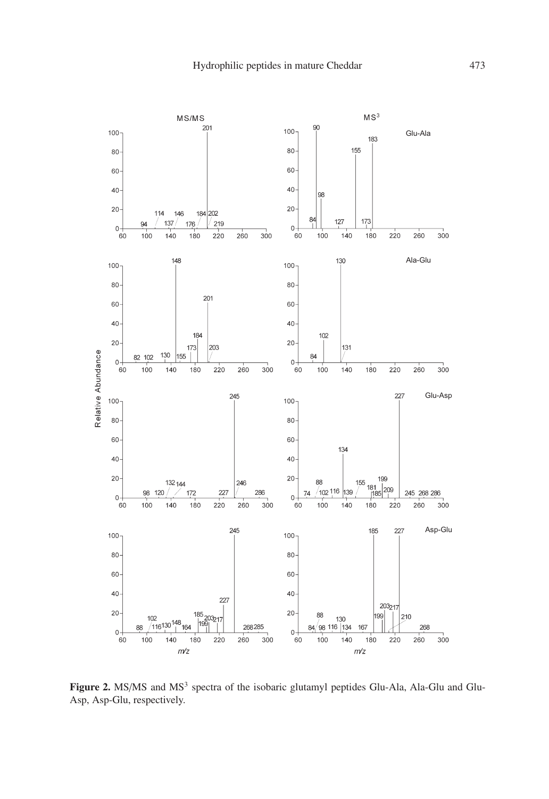

<span id="page-6-0"></span>Figure 2. MS/MS and MS<sup>3</sup> spectra of the isobaric glutamyl peptides Glu-Ala, Ala-Glu and Glu-Asp, Asp-Glu, respectively.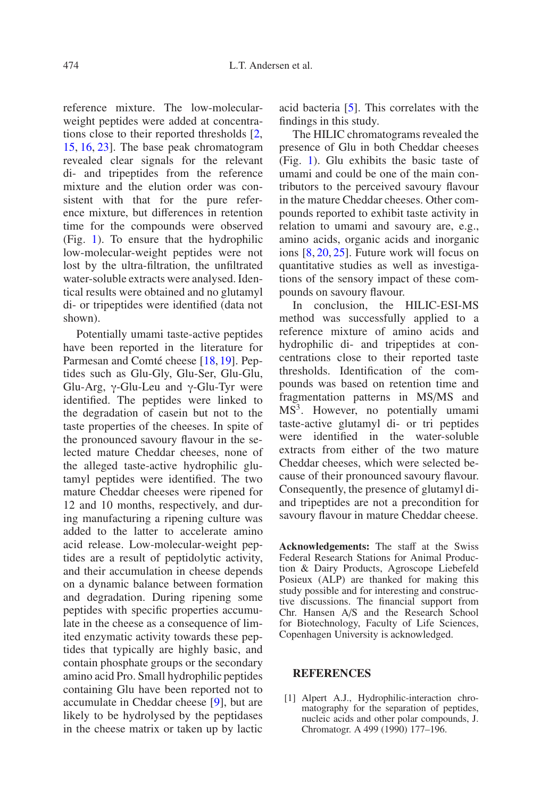reference mixture. The low-molecularweight peptides were added at concentrations close to their reported thresholds [\[2,](#page-8-10) [15,](#page-8-11) [16](#page-8-12), [23\]](#page-8-13). The base peak chromatogram revealed clear signals for the relevant di- and tripeptides from the reference mixture and the elution order was consistent with that for the pure reference mixture, but differences in retention time for the compounds were observed (Fig. [1\)](#page-4-0). To ensure that the hydrophilic low-molecular-weight peptides were not lost by the ultra-filtration, the unfiltrated water-soluble extracts were analysed. Identical results were obtained and no glutamyl di- or tripeptides were identified (data not shown).

Potentially umami taste-active peptides have been reported in the literature for Parmesan and Comté cheese [\[18,](#page-8-22) [19](#page-8-17)]. Peptides such as Glu-Gly, Glu-Ser, Glu-Glu, Glu-Arg, γ-Glu-Leu and γ-Glu-Tyr were identified. The peptides were linked to the degradation of casein but not to the taste properties of the cheeses. In spite of the pronounced savoury flavour in the selected mature Cheddar cheeses, none of the alleged taste-active hydrophilic glutamyl peptides were identified. The two mature Cheddar cheeses were ripened for 12 and 10 months, respectively, and during manufacturing a ripening culture was added to the latter to accelerate amino acid release. Low-molecular-weight peptides are a result of peptidolytic activity, and their accumulation in cheese depends on a dynamic balance between formation and degradation. During ripening some peptides with specific properties accumulate in the cheese as a consequence of limited enzymatic activity towards these peptides that typically are highly basic, and contain phosphate groups or the secondary amino acid Pro. Small hydrophilic peptides containing Glu have been reported not to accumulate in Cheddar cheese [\[9\]](#page-8-4), but are likely to be hydrolysed by the peptidases in the cheese matrix or taken up by lactic acid bacteria [\[5\]](#page-8-23). This correlates with the findings in this study.

The HILIC chromatograms revealed the presence of Glu in both Cheddar cheeses (Fig. [1\)](#page-4-0). Glu exhibits the basic taste of umami and could be one of the main contributors to the perceived savoury flavour in the mature Cheddar cheeses. Other compounds reported to exhibit taste activity in relation to umami and savoury are, e.g., amino acids, organic acids and inorganic ions [\[8](#page-8-7), [20](#page-8-8), [25](#page-8-9)]. Future work will focus on quantitative studies as well as investigations of the sensory impact of these compounds on savoury flavour.

In conclusion, the HILIC-ESI-MS method was successfully applied to a reference mixture of amino acids and hydrophilic di- and tripeptides at concentrations close to their reported taste thresholds. Identification of the compounds was based on retention time and fragmentation patterns in MS/MS and MS<sup>3</sup>. However, no potentially umami taste-active glutamyl di- or tri peptides were identified in the water-soluble extracts from either of the two mature Cheddar cheeses, which were selected because of their pronounced savoury flavour. Consequently, the presence of glutamyl diand tripeptides are not a precondition for savoury flavour in mature Cheddar cheese.

**Acknowledgements:** The staff at the Swiss Federal Research Stations for Animal Production & Dairy Products, Agroscope Liebefeld Posieux (ALP) are thanked for making this study possible and for interesting and constructive discussions. The financial support from Chr. Hansen A/S and the Research School for Biotechnology, Faculty of Life Sciences, Copenhagen University is acknowledged.

#### **REFERENCES**

<span id="page-7-0"></span>[1] Alpert A.J., Hydrophilic-interaction chromatography for the separation of peptides, nucleic acids and other polar compounds, J. Chromatogr. A 499 (1990) 177–196.